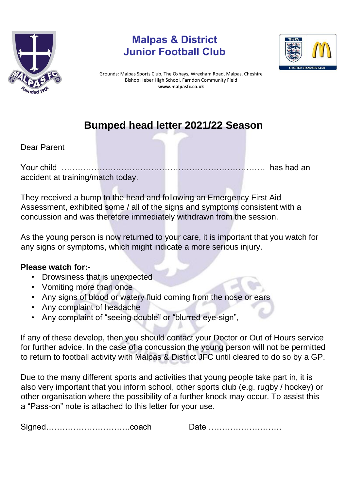

## **Malpas & District Junior Football Club**



Grounds: Malpas Sports Club, The Oxhays, Wrexham Road, Malpas, Cheshire Bishop Heber High School, Farndon Community Field **www.malpasfc.co.uk** 

## **Bumped head letter 2021/22 Season**

Dear Parent

Your child ………………………………………………………………… has had an accident at training/match today.

They received a bump to the head and following an Emergency First Aid Assessment, exhibited some / all of the signs and symptoms consistent with a concussion and was therefore immediately withdrawn from the session.

As the young person is now returned to your care, it is important that you watch for any signs or symptoms, which might indicate a more serious injury.

## **Please watch for:-**

- Drowsiness that is unexpected
- Vomiting more than once
- Any signs of blood or watery fluid coming from the nose or ears
- Any complaint of headache
- Any complaint of "seeing double" or "blurred eye-sign",

If any of these develop, then you should contact your Doctor or Out of Hours service for further advice. In the case of a concussion the young person will not be permitted to return to football activity with Malpas & District JFC until cleared to do so by a GP.

Due to the many different sports and activities that young people take part in, it is also very important that you inform school, other sports club (e.g. rugby / hockey) or other organisation where the possibility of a further knock may occur. To assist this a "Pass-on" note is attached to this letter for your use.

| Signedcoach |  |  |
|-------------|--|--|
|-------------|--|--|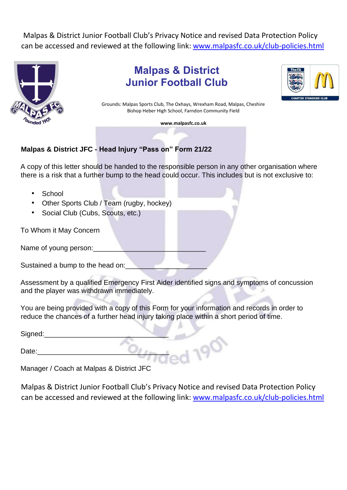Malpas & District Junior Football Club's Privacy Notice and revised Data Protection Policy can be accessed and reviewed at the following link: [www.malpasfc.co.uk/club-policies.html](http://www.malpasfc.co.uk/club-policies.html)



**Malpas & District Junior Football Club** 



Grounds: Malpas Sports Club, The Oxhays, Wrexham Road, Malpas, Cheshire Bishop Heber High School, Farndon Community Field

**www.malpasfc.co.uk** 

## **Malpas & District JFC - Head Injury "Pass on" Form 21/22**

A copy of this letter should be handed to the responsible person in any other organisation where there is a risk that a further bump to the head could occur. This includes but is not exclusive to:

- School
- Other Sports Club / Team (rugby, hockey)
- Social Club (Cubs, Scouts, etc.)

To Whom it May Concern

Name of young person:

Sustained a bump to the head on:

Assessment by a qualified Emergency First Aider identified signs and symptoms of concussion and the player was withdrawn immediately.

You are being provided with a copy of this Form for your information and records in order to reduce the chances of a further head injury taking place within a short period of time.

Signed:

Date:

Manager / Coach at Malpas & District JFC

Malpas & District Junior Football Club's Privacy Notice and revised Data Protection Policy can be accessed and reviewed at the following link: [www.malpasfc.co.uk/club-policies.html](http://www.malpasfc.co.uk/club-policies.html)